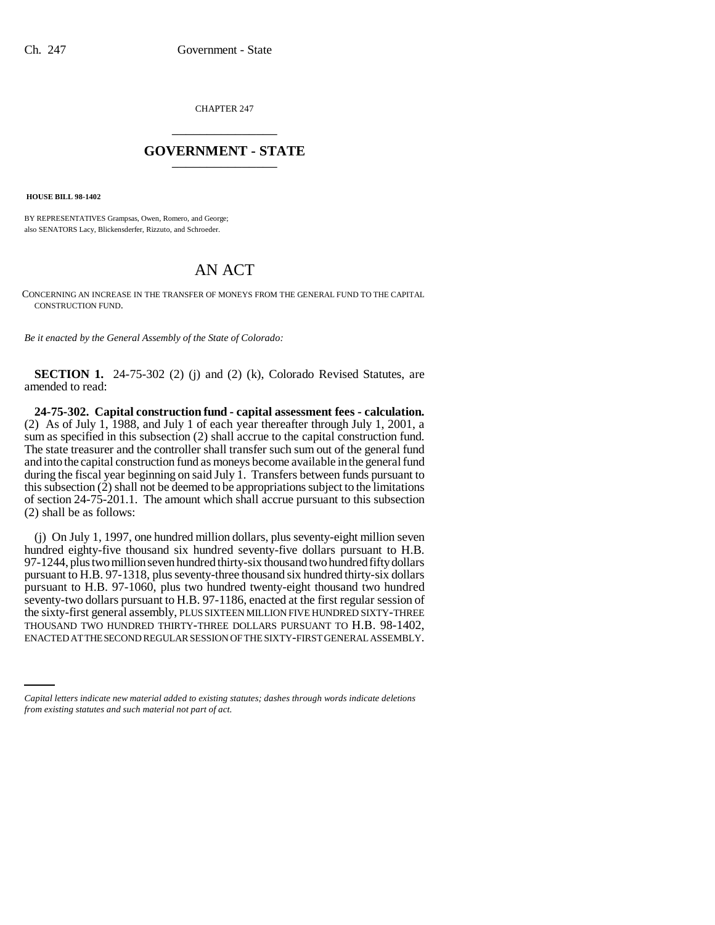CHAPTER 247 \_\_\_\_\_\_\_\_\_\_\_\_\_\_\_

## **GOVERNMENT - STATE** \_\_\_\_\_\_\_\_\_\_\_\_\_\_\_

 **HOUSE BILL 98-1402**

BY REPRESENTATIVES Grampsas, Owen, Romero, and George; also SENATORS Lacy, Blickensderfer, Rizzuto, and Schroeder.

## AN ACT

CONCERNING AN INCREASE IN THE TRANSFER OF MONEYS FROM THE GENERAL FUND TO THE CAPITAL CONSTRUCTION FUND.

*Be it enacted by the General Assembly of the State of Colorado:*

**SECTION 1.** 24-75-302 (2) (j) and (2) (k), Colorado Revised Statutes, are amended to read:

**24-75-302. Capital construction fund - capital assessment fees - calculation.** (2) As of July 1, 1988, and July 1 of each year thereafter through July 1, 2001, a sum as specified in this subsection (2) shall accrue to the capital construction fund. The state treasurer and the controller shall transfer such sum out of the general fund and into the capital construction fund as moneys become available in the general fund during the fiscal year beginning on said July 1. Transfers between funds pursuant to this subsection (2) shall not be deemed to be appropriations subject to the limitations of section 24-75-201.1. The amount which shall accrue pursuant to this subsection (2) shall be as follows:

THOUSAND TWO HUNDRED THIRTY-THREE DOLLARS PURSUANT TO H.B. 98-1402, (j) On July 1, 1997, one hundred million dollars, plus seventy-eight million seven hundred eighty-five thousand six hundred seventy-five dollars pursuant to H.B. 97-1244, plus two million seven hundred thirty-six thousand two hundred fifty dollars pursuant to H.B. 97-1318, plus seventy-three thousand six hundred thirty-six dollars pursuant to H.B. 97-1060, plus two hundred twenty-eight thousand two hundred seventy-two dollars pursuant to H.B. 97-1186, enacted at the first regular session of the sixty-first general assembly, PLUS SIXTEEN MILLION FIVE HUNDRED SIXTY-THREE ENACTED AT THE SECOND REGULAR SESSION OF THE SIXTY-FIRST GENERAL ASSEMBLY.

*Capital letters indicate new material added to existing statutes; dashes through words indicate deletions from existing statutes and such material not part of act.*